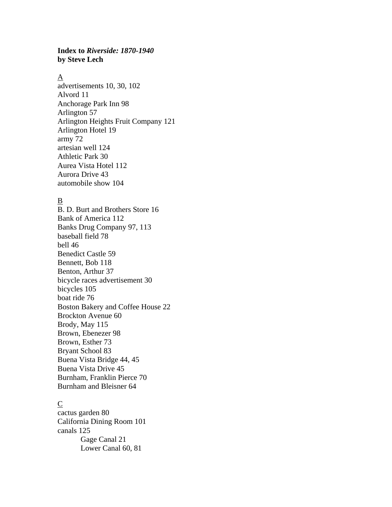#### **Index to** *Riverside: 1870-1940*  **by Steve Lech**

#### $\underline{A}$

advertisements 10, 30, 102 Alvord 11 Anchorage Park Inn 98 Arlington 57 Arlington Heights Fruit Company 121 Arlington Hotel 19 army 72 artesian well 124 Athletic Park 30 Aurea Vista Hotel 112 Aurora Drive 43 automobile show 104

# B

B. D. Burt and Brothers Store 16 Bank of America 112 Banks Drug Company 97, 113 baseball field 78 bell 46 Benedict Castle 59 Bennett, Bob 118 Benton, Arthur 37 bicycle races advertisement 30 bicycles 105 boat ride 76 Boston Bakery and Coffee House 22 Brockton Avenue 60 Brody, May 115 Brown, Ebenezer 98 Brown, Esther 73 Bryant School 83 Buena Vista Bridge 44, 45 Buena Vista Drive 45 Burnham, Franklin Pierce 70 Burnham and Bleisner 64

## C

cactus garden 80 California Dining Room 101 canals 125 Gage Canal 21 Lower Canal 60, 81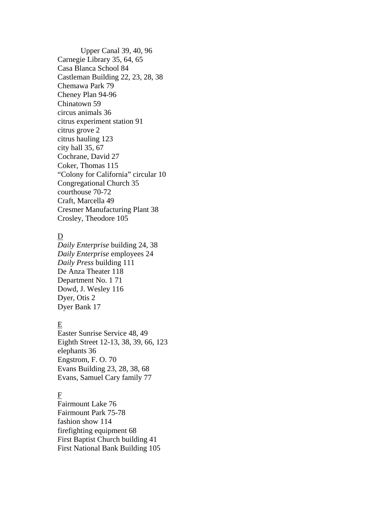Upper Canal 39, 40, 96 Carnegie Library 35, 64, 65 Casa Blanca School 84 Castleman Building 22, 23, 28, 38 Chemawa Park 79 Cheney Plan 94-96 Chinatown 59 circus animals 36 citrus experiment station 91 citrus grove 2 citrus hauling 123 city hall 35, 67 Cochrane, David 27 Coker, Thomas 115 "Colony for California" circular 10 Congregational Church 35 courthouse 70-72 Craft, Marcella 49 Cresmer Manufacturing Plant 38 Crosley, Theodore 105

## D

*Daily Enterprise* building 24, 38 *Daily Enterprise* employees 24 *Daily Press* building 111 De Anza Theater 118 Department No. 1 71 Dowd, J. Wesley 116 Dyer, Otis 2 Dyer Bank 17

# E

Easter Sunrise Service 48, 49 Eighth Street 12-13, 38, 39, 66, 123 elephants 36 Engstrom, F. O. 70 Evans Building 23, 28, 38, 68 Evans, Samuel Cary family 77

# F

Fairmount Lake 76 Fairmount Park 75-78 fashion show 114 firefighting equipment 68 First Baptist Church building 41 First National Bank Building 105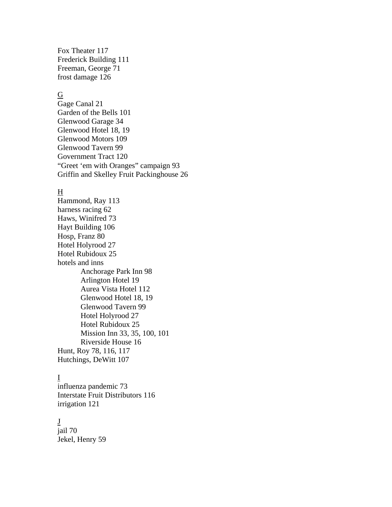Fox Theater 117 Frederick Building 111 Freeman, George 71 frost damage 126

#### $\underline{G}$

Gage Canal 21 Garden of the Bells 101 Glenwood Garage 34 Glenwood Hotel 18, 19 Glenwood Motors 109 Glenwood Tavern 99 Government Tract 120 "Greet 'em with Oranges" campaign 93 Griffin and Skelley Fruit Packinghouse 26

#### H

Hammond, Ray 113 harness racing 62 Haws, Winifred 73 Hayt Building 106 Hosp, Franz 80 Hotel Holyrood 27 Hotel Rubidoux 25 hotels and inns Anchorage Park Inn 98 Arlington Hotel 19 Aurea Vista Hotel 112 Glenwood Hotel 18, 19 Glenwood Tavern 99 Hotel Holyrood 27 Hotel Rubidoux 25 Mission Inn 33, 35, 100, 101 Riverside House 16 Hunt, Roy 78, 116, 117 Hutchings, DeWitt 107

#### I

influenza pandemic 73 Interstate Fruit Distributors 116 irrigation 121

#### J

jail 70 Jekel, Henry 59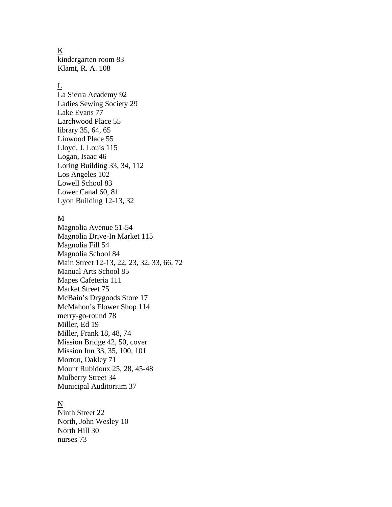#### $\underline{\mathbf{K}}$

kindergarten room 83 Klamt, R. A. 108

#### L

La Sierra Academy 92 Ladies Sewing Society 29 Lake Evans 77 Larchwood Place 55 library 35, 64, 65 Linwood Place 55 Lloyd, J. Louis 115 Logan, Isaac 46 Loring Building 33, 34, 112 Los Angeles 102 Lowell School 83 Lower Canal 60, 81 Lyon Building 12-13, 32

#### M

Magnolia Avenue 51-54 Magnolia Drive-In Market 115 Magnolia Fill 54 Magnolia School 84 Main Street 12-13, 22, 23, 32, 33, 66, 72 Manual Arts School 85 Mapes Cafeteria 111 Market Street 75 McBain's Drygoods Store 17 McMahon's Flower Shop 114 merry-go-round 78 Miller, Ed 19 Miller, Frank 18, 48, 74 Mission Bridge 42, 50, cover Mission Inn 33, 35, 100, 101 Morton, Oakley 71 Mount Rubidoux 25, 28, 45-48 Mulberry Street 34 Municipal Auditorium 37

## N

Ninth Street 22 North, John Wesley 10 North Hill 30 nurses 73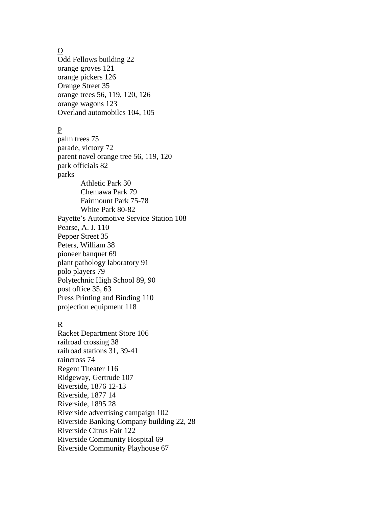$\underline{O}$ 

Odd Fellows building 22 orange groves 121 orange pickers 126 Orange Street 35 orange trees 56, 119, 120, 126 orange wagons 123 Overland automobiles 104, 105

# P

palm trees 75 parade, victory 72 parent navel orange tree 56, 119, 120 park officials 82 parks Athletic Park 30 Chemawa Park 79 Fairmount Park 75-78 White Park 80-82 Payette's Automotive Service Station 108 Pearse, A. J. 110 Pepper Street 35 Peters, William 38 pioneer banquet 69 plant pathology laboratory 91 polo players 79 Polytechnic High School 89, 90 post office 35, 63 Press Printing and Binding 110 projection equipment 118

## R

Racket Department Store 106 railroad crossing 38 railroad stations 31, 39-41 raincross 74 Regent Theater 116 Ridgeway, Gertrude 107 Riverside, 1876 12-13 Riverside, 1877 14 Riverside, 1895 28 Riverside advertising campaign 102 Riverside Banking Company building 22, 28 Riverside Citrus Fair 122 Riverside Community Hospital 69 Riverside Community Playhouse 67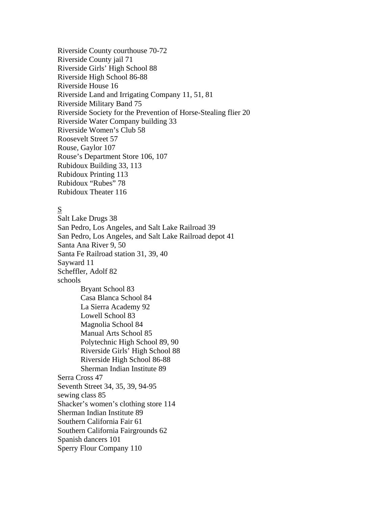Riverside County courthouse 70-72 Riverside County jail 71 Riverside Girls' High School 88 Riverside High School 86-88 Riverside House 16 Riverside Land and Irrigating Company 11, 51, 81 Riverside Military Band 75 Riverside Society for the Prevention of Horse-Stealing flier 20 Riverside Water Company building 33 Riverside Women's Club 58 Roosevelt Street 57 Rouse, Gaylor 107 Rouse's Department Store 106, 107 Rubidoux Building 33, 113 Rubidoux Printing 113 Rubidoux "Rubes" 78 Rubidoux Theater 116

# S

Salt Lake Drugs 38 San Pedro, Los Angeles, and Salt Lake Railroad 39 San Pedro, Los Angeles, and Salt Lake Railroad depot 41 Santa Ana River 9, 50 Santa Fe Railroad station 31, 39, 40 Sayward 11 Scheffler, Adolf 82 schools Bryant School 83 Casa Blanca School 84 La Sierra Academy 92 Lowell School 83 Magnolia School 84 Manual Arts School 85 Polytechnic High School 89, 90 Riverside Girls' High School 88 Riverside High School 86-88 Sherman Indian Institute 89 Serra Cross 47 Seventh Street 34, 35, 39, 94-95 sewing class 85 Shacker's women's clothing store 114 Sherman Indian Institute 89 Southern California Fair 61 Southern California Fairgrounds 62 Spanish dancers 101 Sperry Flour Company 110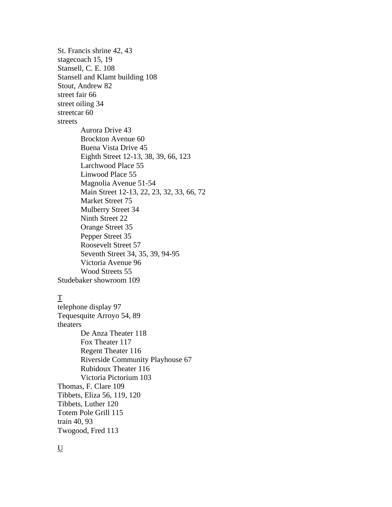St. Francis shrine 42, 43 stagecoach 15, 19 Stansell, C. E. 108 Stansell and Klamt building 108 Stout, Andrew 82 street fair 66 street oiling 34 streetcar 60 streets Aurora Drive 43 Brockton Avenue 60 Buena Vista Drive 45 Eighth Street 12-13, 38, 39, 66, 123 Larchwood Place 55 Linwood Place 55 Magnolia Avenue 51-54 Main Street 12-13, 22, 23, 32, 33, 66, 72 Market Street 75 Mulberry Street 34 Ninth Street 22 Orange Street 35 Pepper Street 35 Roosevelt Street 57 Seventh Street 34, 35, 39, 94-95 Victoria Avenue 96 Wood Streets 55 Studebaker showroom 109

#### T

telephone display 97 Tequesquite Arroyo 54, 89 theaters De Anza Theater 118 Fox Theater 117 Regent Theater 116 Riverside Community Playhouse 67 Rubidoux Theater 116 Victoria Pictorium 103 Thomas, F. Clare 109 Tibbets, Eliza 56, 119, 120 Tibbets, Luther 120 Totem Pole Grill 115 train 40, 93 Twogood, Fred 113